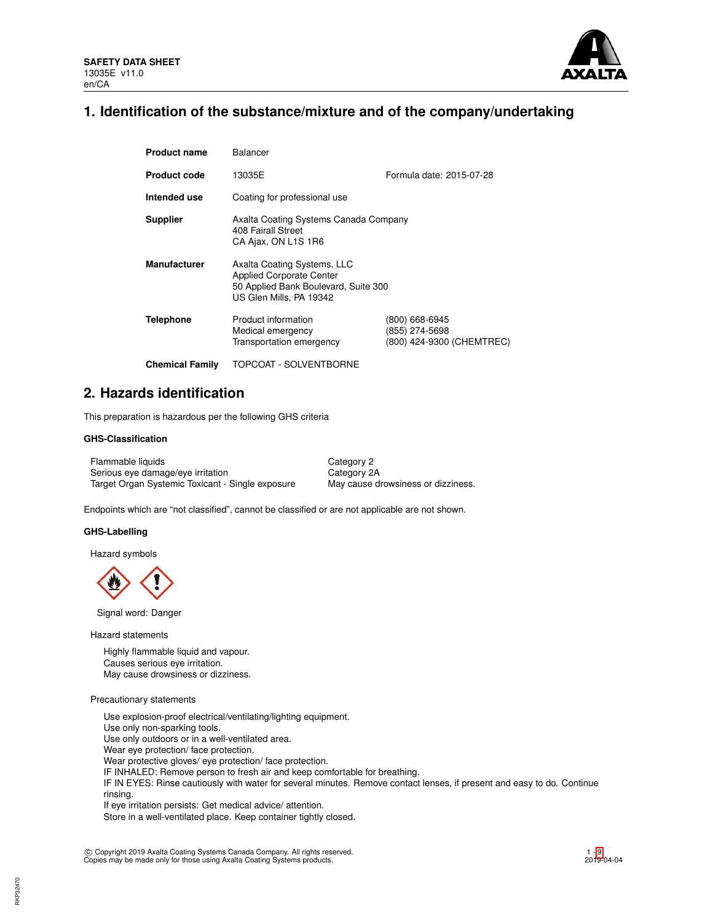

## **1. Identification of the substance/mixture and of the company/undertaking**

| <b>Product name</b>    | <b>Balancer</b>                                                                                                                   |                                                               |  |  |  |
|------------------------|-----------------------------------------------------------------------------------------------------------------------------------|---------------------------------------------------------------|--|--|--|
| <b>Product code</b>    | 13035E                                                                                                                            | Formula date: 2015-07-28                                      |  |  |  |
| Intended use           | Coating for professional use                                                                                                      |                                                               |  |  |  |
| <b>Supplier</b>        | Axalta Coating Systems Canada Company<br>408 Fairall Street<br>CA Ajax, ON L1S 1R6                                                |                                                               |  |  |  |
| <b>Manufacturer</b>    | Axalta Coating Systems, LLC<br><b>Applied Corporate Center</b><br>50 Applied Bank Boulevard, Suite 300<br>US Glen Mills, PA 19342 |                                                               |  |  |  |
| <b>Telephone</b>       | Product information<br>Medical emergency<br>Transportation emergency                                                              | (800) 668-6945<br>(855) 274-5698<br>(800) 424-9300 (CHEMTREC) |  |  |  |
| <b>Chemical Family</b> | TOPCOAT - SOLVENTBORNE                                                                                                            |                                                               |  |  |  |

## **2. Hazards identification**

This preparation is hazardous per the following GHS criteria

## **GHS-Classification**

Flammable liquids Category 2 Serious eye damage/eye irritation Category 2A Target Organ Systemic Toxicant - Single exposure May cause drowsiness or dizziness.

Endpoints which are "not classified", cannot be classified or are not applicable are not shown.

### **GHS-Labelling**

Hazard symbols

Signal word: Danger

Hazard statements

Highly flammable liquid and vapour. Causes serious eye irritation. May cause drowsiness or dizziness.

### Precautionary statements

Use explosion-proof electrical/ventilating/lighting equipment. Use only non-sparking tools. Use only outdoors or in a well-ventilated area. Wear eye protection/ face protection. Wear protective gloves/ eye protection/ face protection. IF INHALED: Remove person to fresh air and keep comfortable for breathing. IF IN EYES: Rinse cautiously with water for several minutes. Remove contact lenses, if present and easy to do. Continue rinsing. If eye irritation persists: Get medical advice/ attention.

Store in a well-ventilated place. Keep container tightly closed.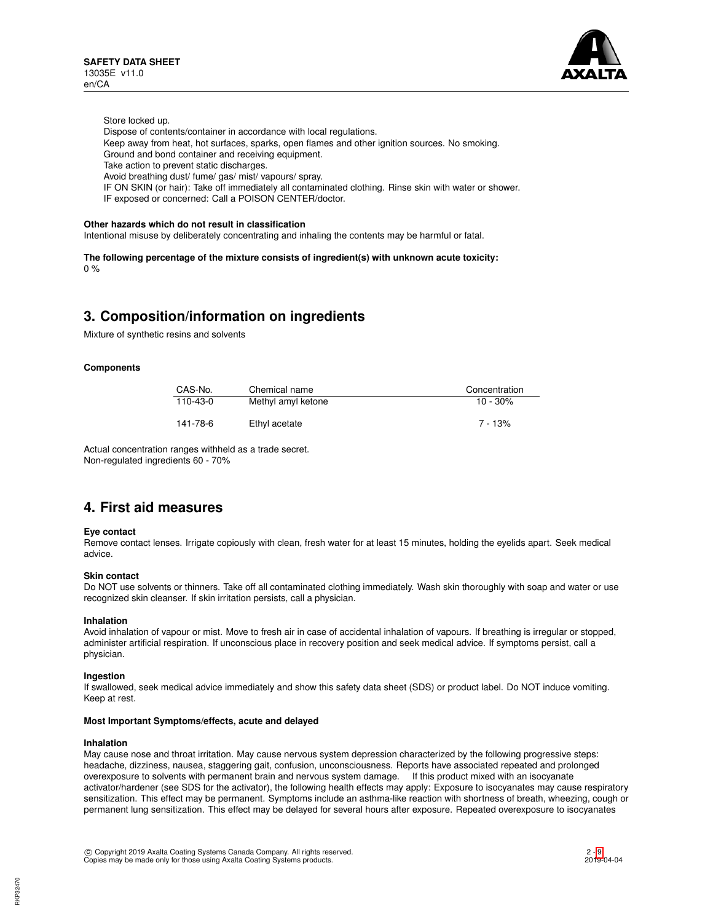

Store locked up.

- Dispose of contents/container in accordance with local regulations.
- Keep away from heat, hot surfaces, sparks, open flames and other ignition sources. No smoking.
- Ground and bond container and receiving equipment.
- Take action to prevent static discharges.
- Avoid breathing dust/ fume/ gas/ mist/ vapours/ spray.
- IF ON SKIN (or hair): Take off immediately all contaminated clothing. Rinse skin with water or shower.
- IF exposed or concerned: Call a POISON CENTER/doctor.

#### **Other hazards which do not result in classification**

Intentional misuse by deliberately concentrating and inhaling the contents may be harmful or fatal.

**The following percentage of the mixture consists of ingredient(s) with unknown acute toxicity:**  $0%$ 

## **3. Composition/information on ingredients**

Mixture of synthetic resins and solvents

### **Components**

| CAS-No.  | Chemical name      | Concentration |
|----------|--------------------|---------------|
| 110-43-0 | Methyl amyl ketone | $10 - 30\%$   |
| 141-78-6 | Ethyl acetate      | $7 - 13%$     |

Actual concentration ranges withheld as a trade secret. Non-regulated ingredients 60 - 70%

## **4. First aid measures**

## **Eye contact**

Remove contact lenses. Irrigate copiously with clean, fresh water for at least 15 minutes, holding the eyelids apart. Seek medical advice.

### **Skin contact**

Do NOT use solvents or thinners. Take off all contaminated clothing immediately. Wash skin thoroughly with soap and water or use recognized skin cleanser. If skin irritation persists, call a physician.

### **Inhalation**

Avoid inhalation of vapour or mist. Move to fresh air in case of accidental inhalation of vapours. If breathing is irregular or stopped, administer artificial respiration. If unconscious place in recovery position and seek medical advice. If symptoms persist, call a physician.

#### **Ingestion**

If swallowed, seek medical advice immediately and show this safety data sheet (SDS) or product label. Do NOT induce vomiting. Keep at rest.

#### **Most Important Symptoms/effects, acute and delayed**

#### **Inhalation**

May cause nose and throat irritation. May cause nervous system depression characterized by the following progressive steps: headache, dizziness, nausea, staggering gait, confusion, unconsciousness. Reports have associated repeated and prolonged overexposure to solvents with permanent brain and nervous system damage. If this product mixed with an isocyanate activator/hardener (see SDS for the activator), the following health effects may apply: Exposure to isocyanates may cause respiratory sensitization. This effect may be permanent. Symptoms include an asthma-like reaction with shortness of breath, wheezing, cough or permanent lung sensitization. This effect may be delayed for several hours after exposure. Repeated overexposure to isocyanates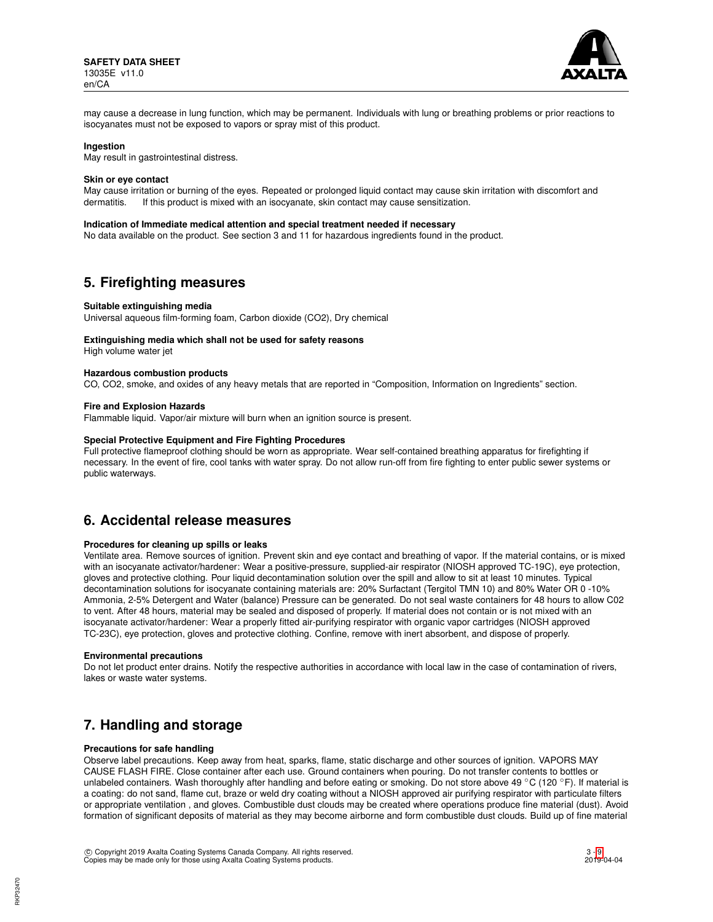

may cause a decrease in lung function, which may be permanent. Individuals with lung or breathing problems or prior reactions to isocyanates must not be exposed to vapors or spray mist of this product.

### **Ingestion**

May result in gastrointestinal distress.

#### **Skin or eye contact**

May cause irritation or burning of the eyes. Repeated or prolonged liquid contact may cause skin irritation with discomfort and dermatitis. If this product is mixed with an isocyanate, skin contact may cause sensitization.

## **Indication of Immediate medical attention and special treatment needed if necessary**

No data available on the product. See section 3 and 11 for hazardous ingredients found in the product.

## **5. Firefighting measures**

### **Suitable extinguishing media**

Universal aqueous film-forming foam, Carbon dioxide (CO2), Dry chemical

### **Extinguishing media which shall not be used for safety reasons**

High volume water jet

#### **Hazardous combustion products**

CO, CO2, smoke, and oxides of any heavy metals that are reported in "Composition, Information on Ingredients" section.

#### **Fire and Explosion Hazards**

Flammable liquid. Vapor/air mixture will burn when an ignition source is present.

## **Special Protective Equipment and Fire Fighting Procedures**

Full protective flameproof clothing should be worn as appropriate. Wear self-contained breathing apparatus for firefighting if necessary. In the event of fire, cool tanks with water spray. Do not allow run-off from fire fighting to enter public sewer systems or public waterways.

## **6. Accidental release measures**

### **Procedures for cleaning up spills or leaks**

Ventilate area. Remove sources of ignition. Prevent skin and eye contact and breathing of vapor. If the material contains, or is mixed with an isocyanate activator/hardener: Wear a positive-pressure, supplied-air respirator (NIOSH approved TC-19C), eye protection, gloves and protective clothing. Pour liquid decontamination solution over the spill and allow to sit at least 10 minutes. Typical decontamination solutions for isocyanate containing materials are: 20% Surfactant (Tergitol TMN 10) and 80% Water OR 0 -10% Ammonia, 2-5% Detergent and Water (balance) Pressure can be generated. Do not seal waste containers for 48 hours to allow C02 to vent. After 48 hours, material may be sealed and disposed of properly. If material does not contain or is not mixed with an isocyanate activator/hardener: Wear a properly fitted air-purifying respirator with organic vapor cartridges (NIOSH approved TC-23C), eye protection, gloves and protective clothing. Confine, remove with inert absorbent, and dispose of properly.

## **Environmental precautions**

Do not let product enter drains. Notify the respective authorities in accordance with local law in the case of contamination of rivers, lakes or waste water systems.

## **7. Handling and storage**

## **Precautions for safe handling**

Observe label precautions. Keep away from heat, sparks, flame, static discharge and other sources of ignition. VAPORS MAY CAUSE FLASH FIRE. Close container after each use. Ground containers when pouring. Do not transfer contents to bottles or unlabeled containers. Wash thoroughly after handling and before eating or smoking. Do not store above 49 °C (120 °F). If material is a coating: do not sand, flame cut, braze or weld dry coating without a NIOSH approved air purifying respirator with particulate filters or appropriate ventilation , and gloves. Combustible dust clouds may be created where operations produce fine material (dust). Avoid formation of significant deposits of material as they may become airborne and form combustible dust clouds. Build up of fine material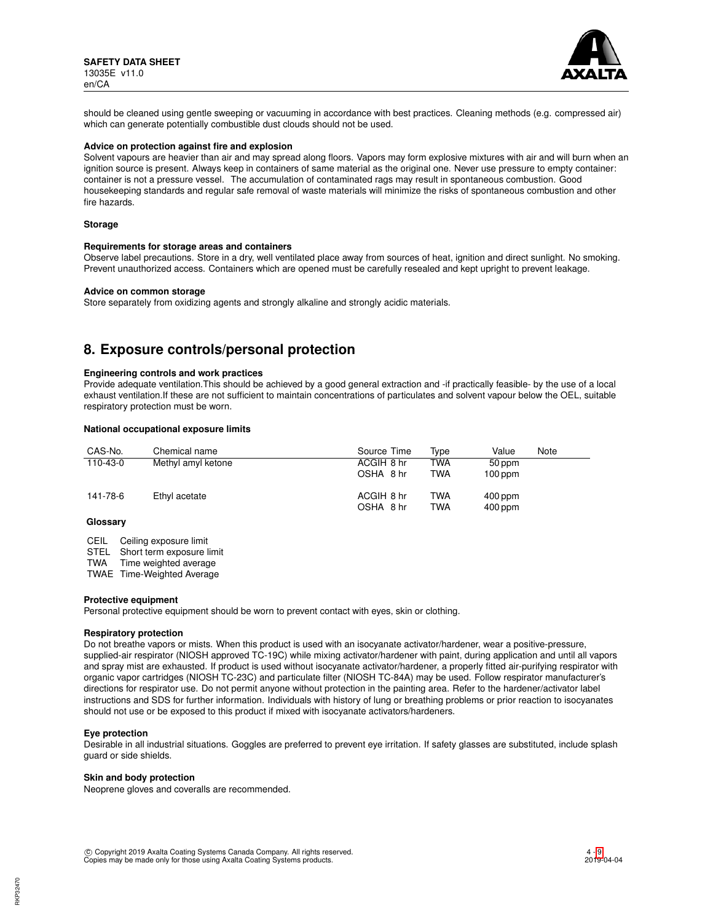

should be cleaned using gentle sweeping or vacuuming in accordance with best practices. Cleaning methods (e.g. compressed air) which can generate potentially combustible dust clouds should not be used.

## **Advice on protection against fire and explosion**

Solvent vapours are heavier than air and may spread along floors. Vapors may form explosive mixtures with air and will burn when an ignition source is present. Always keep in containers of same material as the original one. Never use pressure to empty container: container is not a pressure vessel. The accumulation of contaminated rags may result in spontaneous combustion. Good housekeeping standards and regular safe removal of waste materials will minimize the risks of spontaneous combustion and other fire hazards.

#### **Storage**

#### **Requirements for storage areas and containers**

Observe label precautions. Store in a dry, well ventilated place away from sources of heat, ignition and direct sunlight. No smoking. Prevent unauthorized access. Containers which are opened must be carefully resealed and kept upright to prevent leakage.

#### **Advice on common storage**

Store separately from oxidizing agents and strongly alkaline and strongly acidic materials.

## **8. Exposure controls/personal protection**

### **Engineering controls and work practices**

Provide adequate ventilation.This should be achieved by a good general extraction and -if practically feasible- by the use of a local exhaust ventilation.If these are not sufficient to maintain concentrations of particulates and solvent vapour below the OEL, suitable respiratory protection must be worn.

### **National occupational exposure limits**

| CAS-No.  | Chemical name      | Source Time | Type       | Value     | Note |
|----------|--------------------|-------------|------------|-----------|------|
| 110-43-0 | Methyl amyl ketone | ACGIH 8 hr  | TWA        | 50 ppm    |      |
|          |                    | OSHA 8 hr   | <b>TWA</b> | $100$ ppm |      |
| 141-78-6 | Ethyl acetate      | ACGIH 8 hr  | <b>TWA</b> | $400$ ppm |      |
|          |                    | OSHA 8 hr   | <b>TWA</b> | $400$ ppm |      |
| Glossarv |                    |             |            |           |      |

CEIL Ceiling exposure limit STEL Short term exposure limit<br>TWA Time weighted average Time weighted average

TWAE Time-Weighted Average

#### **Protective equipment**

Personal protective equipment should be worn to prevent contact with eyes, skin or clothing.

#### **Respiratory protection**

Do not breathe vapors or mists. When this product is used with an isocyanate activator/hardener, wear a positive-pressure, supplied-air respirator (NIOSH approved TC-19C) while mixing activator/hardener with paint, during application and until all vapors and spray mist are exhausted. If product is used without isocyanate activator/hardener, a properly fitted air-purifying respirator with organic vapor cartridges (NIOSH TC-23C) and particulate filter (NIOSH TC-84A) may be used. Follow respirator manufacturer's directions for respirator use. Do not permit anyone without protection in the painting area. Refer to the hardener/activator label instructions and SDS for further information. Individuals with history of lung or breathing problems or prior reaction to isocyanates should not use or be exposed to this product if mixed with isocyanate activators/hardeners.

#### **Eye protection**

Desirable in all industrial situations. Goggles are preferred to prevent eye irritation. If safety glasses are substituted, include splash guard or side shields.

#### **Skin and body protection**

Neoprene gloves and coveralls are recommended.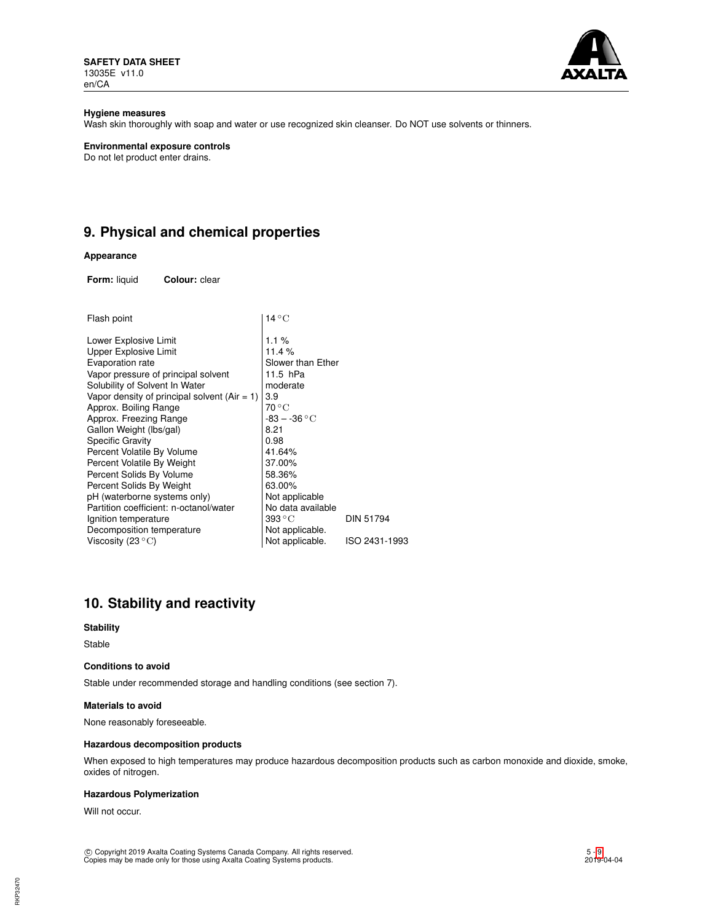**SAFETY DATA SHEET** 13035E v11.0 en/CA



## **Hygiene measures**

Wash skin thoroughly with soap and water or use recognized skin cleanser. Do NOT use solvents or thinners.

## **Environmental exposure controls**

Do not let product enter drains.

# **9. Physical and chemical properties**

## **Appearance**

**Form:** liquid **Colour:** clear

| $14^{\circ}$ C                  |                  |  |  |
|---------------------------------|------------------|--|--|
| 1.1%                            |                  |  |  |
| 11.4%                           |                  |  |  |
| Slower than Ether               |                  |  |  |
| 11.5 hPa                        |                  |  |  |
| moderate                        |                  |  |  |
| 3.9                             |                  |  |  |
| 70 °C                           |                  |  |  |
| $-83 - -36\,^{\circ}\mathrm{C}$ |                  |  |  |
| 8.21                            |                  |  |  |
| 0.98                            |                  |  |  |
| 41.64%                          |                  |  |  |
| 37.00%                          |                  |  |  |
| 58.36%                          |                  |  |  |
| 63.00%                          |                  |  |  |
| Not applicable                  |                  |  |  |
| No data available               |                  |  |  |
| 393 ° C                         | <b>DIN 51794</b> |  |  |
| Not applicable.                 |                  |  |  |
| Not applicable.                 | ISO 2431-1993    |  |  |
|                                 |                  |  |  |

# **10. Stability and reactivity**

## **Stability**

Stable

## **Conditions to avoid**

Stable under recommended storage and handling conditions (see section 7).

### **Materials to avoid**

None reasonably foreseeable.

## **Hazardous decomposition products**

When exposed to high temperatures may produce hazardous decomposition products such as carbon monoxide and dioxide, smoke, oxides of nitrogen.

## **Hazardous Polymerization**

Will not occur.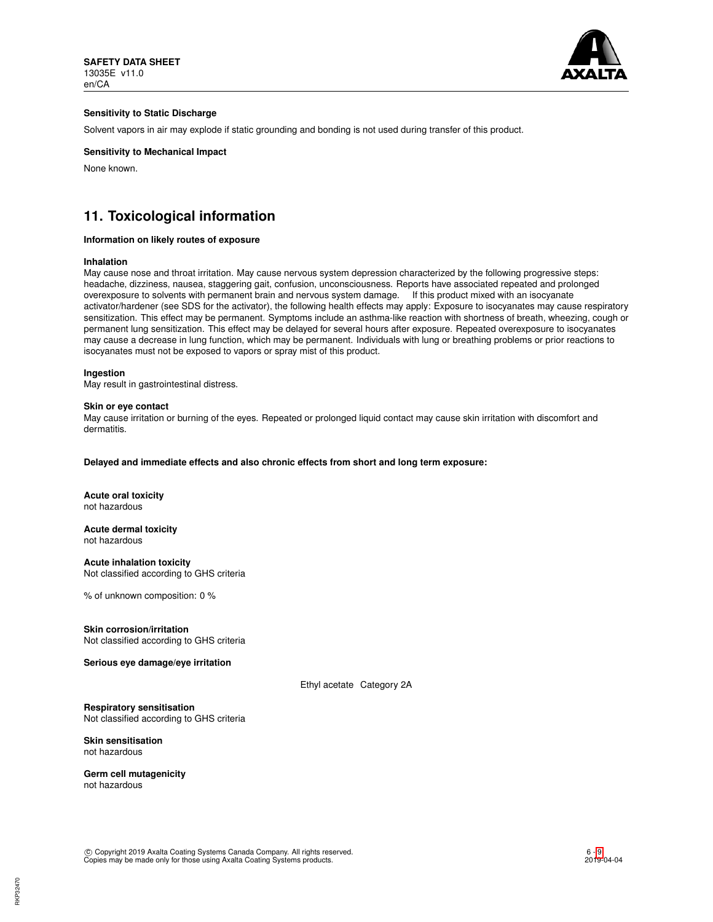

## **Sensitivity to Static Discharge**

Solvent vapors in air may explode if static grounding and bonding is not used during transfer of this product.

## **Sensitivity to Mechanical Impact**

None known.

# **11. Toxicological information**

## **Information on likely routes of exposure**

#### **Inhalation**

May cause nose and throat irritation. May cause nervous system depression characterized by the following progressive steps: headache, dizziness, nausea, staggering gait, confusion, unconsciousness. Reports have associated repeated and prolonged overexposure to solvents with permanent brain and nervous system damage. If this product mixed with an isocyanate activator/hardener (see SDS for the activator), the following health effects may apply: Exposure to isocyanates may cause respiratory sensitization. This effect may be permanent. Symptoms include an asthma-like reaction with shortness of breath, wheezing, cough or permanent lung sensitization. This effect may be delayed for several hours after exposure. Repeated overexposure to isocyanates may cause a decrease in lung function, which may be permanent. Individuals with lung or breathing problems or prior reactions to isocyanates must not be exposed to vapors or spray mist of this product.

## **Ingestion**

May result in gastrointestinal distress.

#### **Skin or eye contact**

May cause irritation or burning of the eyes. Repeated or prolonged liquid contact may cause skin irritation with discomfort and dermatitis.

**Delayed and immediate effects and also chronic effects from short and long term exposure:**

#### **Acute oral toxicity** not hazardous

**Acute dermal toxicity** not hazardous

**Acute inhalation toxicity** Not classified according to GHS criteria

% of unknown composition: 0 %

### **Skin corrosion/irritation**

Not classified according to GHS criteria

**Serious eye damage/eye irritation**

Ethyl acetate Category 2A

## **Respiratory sensitisation**

Not classified according to GHS criteria

## **Skin sensitisation** not hazardous

**Germ cell mutagenicity** not hazardous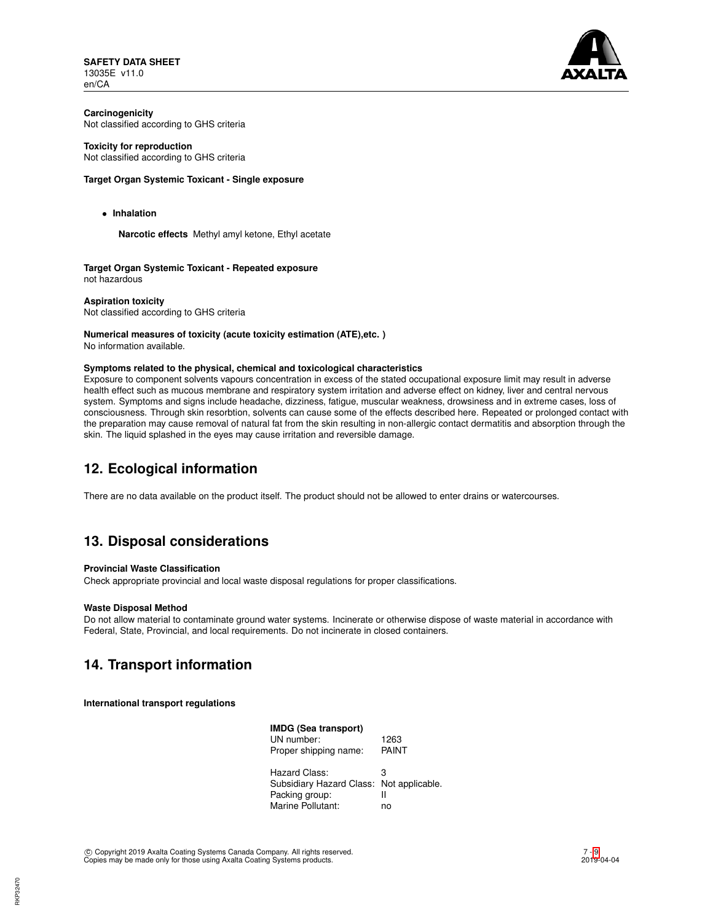**SAFETY DATA SHEET** 13035E v11.0 en/CA



**Carcinogenicity** Not classified according to GHS criteria

## **Toxicity for reproduction**

Not classified according to GHS criteria

## **Target Organ Systemic Toxicant - Single exposure**

• **Inhalation**

**Narcotic effects** Methyl amyl ketone, Ethyl acetate

**Target Organ Systemic Toxicant - Repeated exposure** not hazardous

**Aspiration toxicity** Not classified according to GHS criteria

# **Numerical measures of toxicity (acute toxicity estimation (ATE),etc. )**

No information available.

## **Symptoms related to the physical, chemical and toxicological characteristics**

Exposure to component solvents vapours concentration in excess of the stated occupational exposure limit may result in adverse health effect such as mucous membrane and respiratory system irritation and adverse effect on kidney, liver and central nervous system. Symptoms and signs include headache, dizziness, fatigue, muscular weakness, drowsiness and in extreme cases, loss of consciousness. Through skin resorbtion, solvents can cause some of the effects described here. Repeated or prolonged contact with the preparation may cause removal of natural fat from the skin resulting in non-allergic contact dermatitis and absorption through the skin. The liquid splashed in the eyes may cause irritation and reversible damage.

# **12. Ecological information**

There are no data available on the product itself. The product should not be allowed to enter drains or watercourses.

# **13. Disposal considerations**

## **Provincial Waste Classification**

Check appropriate provincial and local waste disposal regulations for proper classifications.

### **Waste Disposal Method**

Do not allow material to contaminate ground water systems. Incinerate or otherwise dispose of waste material in accordance with Federal, State, Provincial, and local requirements. Do not incinerate in closed containers.

# **14. Transport information**

**International transport regulations**

| IMDG (Sea transport)                     |       |
|------------------------------------------|-------|
| UN number:                               | 1263  |
| Proper shipping name:                    | PAINT |
| Hazard Class:                            | з     |
| Subsidiary Hazard Class: Not applicable. |       |
| Packing group:                           | Ш     |
| Marine Pollutant:                        | no    |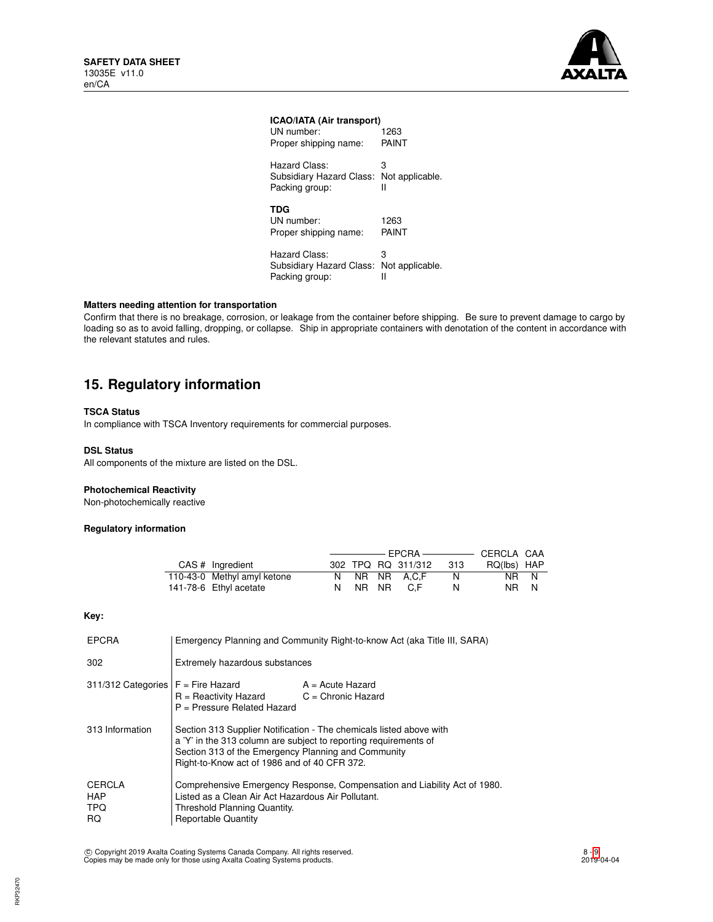

## **ICAO/IATA (Air transport)**

| UN number:                                                  | 1263                 |
|-------------------------------------------------------------|----------------------|
| Proper shipping name:                                       | PAINT                |
| Hazard Class:                                               | 3                    |
| Subsidiary Hazard Class:                                    | Not applicable.      |
| Packing group:                                              | Ш                    |
| <b>TDG</b><br>UN number:<br>Proper shipping name:           | 1263<br>PAINT        |
| Hazard Class:<br>Subsidiary Hazard Class:<br>Packing group: | з<br>Not applicable. |

## **Matters needing attention for transportation**

Confirm that there is no breakage, corrosion, or leakage from the container before shipping. Be sure to prevent damage to cargo by loading so as to avoid falling, dropping, or collapse. Ship in appropriate containers with denotation of the content in accordance with the relevant statutes and rules.

# **15. Regulatory information**

## **TSCA Status**

In compliance with TSCA Inventory requirements for commercial purposes.

## **DSL Status**

All components of the mixture are listed on the DSL.

## **Photochemical Reactivity**

Non-photochemically reactive

## **Regulatory information**

| CAS # Ingredient            |         | 302 TPQ RQ 311/312 | - 313 | RQ(lbs) HAP |  |
|-----------------------------|---------|--------------------|-------|-------------|--|
| 110-43-0 Methyl amyl ketone |         | N NR NR A.C.F      | N.    | NR N        |  |
| 141-78-6 Ethyl acetate      | N NR NR | C F                | N     | NR N        |  |

## **Key:**

| <b>EPCRA</b>                                    | Emergency Planning and Community Right-to-know Act (aka Title III, SARA)                                                                                                                                                                       |  |  |
|-------------------------------------------------|------------------------------------------------------------------------------------------------------------------------------------------------------------------------------------------------------------------------------------------------|--|--|
| 302                                             | Extremely hazardous substances                                                                                                                                                                                                                 |  |  |
| 311/312 Categories $F =$ Fire Hazard            | $A = Acute$ Hazard<br>$R =$ Reactivity Hazard $C =$ Chronic Hazard<br>P = Pressure Related Hazard                                                                                                                                              |  |  |
| 313 Information                                 | Section 313 Supplier Notification - The chemicals listed above with<br>a 'Y' in the 313 column are subject to reporting requirements of<br>Section 313 of the Emergency Planning and Community<br>Right-to-Know act of 1986 and of 40 CFR 372. |  |  |
| CERCLA<br><b>HAP</b><br><b>TPQ</b><br><b>RQ</b> | Comprehensive Emergency Response, Compensation and Liability Act of 1980.<br>Listed as a Clean Air Act Hazardous Air Pollutant.<br>Threshold Planning Quantity.<br><b>Reportable Quantity</b>                                                  |  |  |

c Copyright 2019 Axalta Coating Systems Canada Company. All rights reserved. Copies may be made only for those using Axalta Coating Systems products.

8 - [9](#page-8-0) 2019-04-04